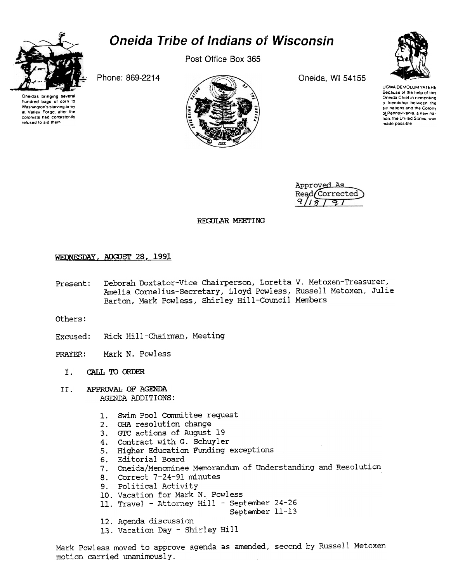

hundred bags of corn 10 Washington's starving army at Valley Forge, after the colonists had consistently refused to aid them

# Oneida Tribe of Indians of Wisconsin

Post Office Box 365



UGWA DEMDLUM YATEHE Because of the help of this Oneida Chief in cementing a triendship between the six nations and the Colony of Pennsylvania, a new na.<br>Tion, the United States, wa made pass'ble

Approved As Read Corrected

REGULAR MEETING

# WEDNESDAY, AUGUST 28, 1991

Deborah Doxtator-Vice Chairperson, Loretta V. Metoxen-Treasurer, Present: Amelia Cornelius-Secretary, Lloyd Powless, Russell Metoxen, Julie Barton, Mark Powless, Shirley Hill-Council Members

Others:

- Excused: Rick Hill-Chairman, Meeting
- PRAYER: Mark N. Powless
	- I. CALL TO ORDER
	- APPROVAL OF AGENDA AGENDA ADDITIONS: II.
		- 1. Swim Pool Committee request
		- OHA resolution change
		- 3. GTC actions of August 194.
		- 4. Contract with G. Schuyler
		- 5. Higher Education Funding exceptions
		- 6. Editorial Board
		- 7. Oneida/Menominee Memorandum of Understanding and Resolution
		- 8. Correct 7-24-91 minutes
		- 9. Political Activity
		- 10. Vacation for Mark N. Powless
		- 11. Travel Attorney Hill September 24-26
			- September 11-13
		- 12. Agenda discussion
		- 13. Vacation Day Shirley Hill

Mark Powless moved to approve agenda as amended, second by Russell Metoxen motion carried unanimously.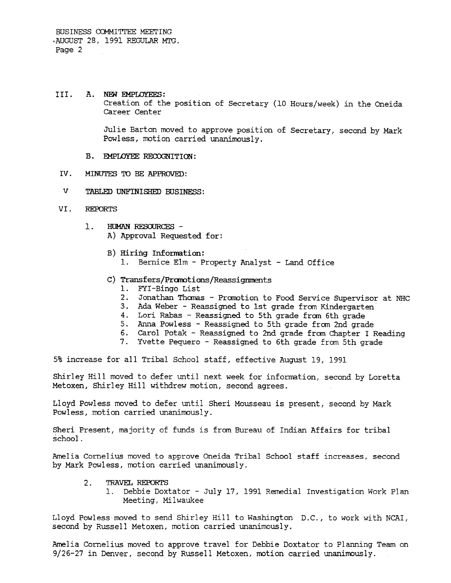#### III. A. NEW EMPLOYEES:

Creation of the position of Secretary (10 Hours/week) in the Oneida Career Center

Julie Barton moved to approve position of Secretary, second by Mark Powless, motion carried unanimously.

- B. EMPLOYEE RECOGNITION:
- IV. MINUTES TO BE APPROVED:
- v TABLED UNFINISHED BUSINFSS:
- REroRTS VI.
	- HUMAN RESOURCES - $1.$ 
		- A) Approval Requested for:
		- B) Hiring Infomation: 1. Bernice Elm - Property Analyst - Land Office
		- C) Transfers/Promotions/Reassignments
			- 1. FYI-Bingo List
			- 2. Jonathan Thomas Promotion to Food Service Supervisor at NHC
			- 3. Ada Weber Reassigned to 1st grade from Kindergarten
			- 4. Lori Rabas Reassigned to 5th grade from 6th grade
			- 5. Anna Powless -Reassigned to 5th grade from 2nd grade
			- 6. Carol Potak -Reassigned to 2nd grade from Chapter I Reading
			- 7. Yvette Pequero Reassigned to 6th grade from 5th grade

5% increase for all Tribal School staff, effective August 19, 1991

Shirley Hill moved to defer until next week for information, second by Loretta Metoxen, Shirley Hill withdrew motion, second agrees.

Lloyd Powless moved to defer until Sheri Mousseau is present, second by Mark Powless, motion carried unanimously.

Sheri Present, majority of funds is from Bureau of Indian Affairs for tribal school.

Amelia Cornelius moved to approve Oneida Tribal School staff increases, second by Mark Powless, motion carried unanimously.

- 2. TRAVEL REPORTS
	- 1. Debbie Doxtator -July 17, 1991 Remedial Investigation Work Plan Meeting, Milwaukee

Lloyd Powless moved to send Shirley Hill to Washington D.C., to work with NCAI, second by Russell Metoxen, motion carried unanimously.

Amelia Cornelius moved to approve travel for Debbie Doxtator to Planning Team on 9/26-27 in Denver, second by Russell Metoxen, motion carried unanimously.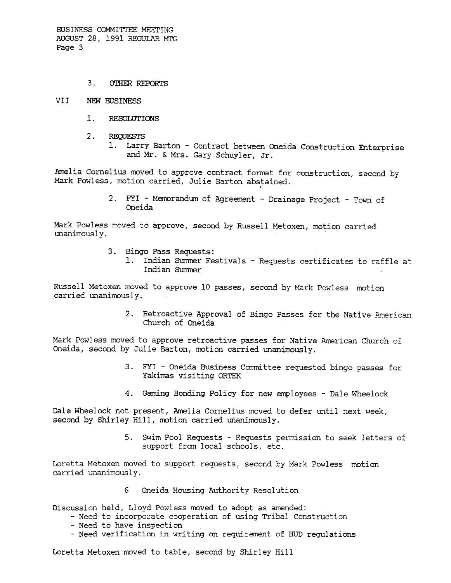BUSINESS COMMITTEE MEETING AUGUST 28, 1991 REGULAR MTG Page 3

### 3. OI'HER REPORTS

### VII NEW BUSINESS

- $1.$ RESOLUTIONS
- 2. REQUESTS
	- 1. Larry Barton Contract between Oneida Construction Enterprise and Mr. & Mrs. Gary Schuyler, Jr.

Amelia Cornelius moved to approve contract format for construction, second by Mark Powless, motion carried, Julie Barton abstained.

> 2. FYI - Memorandum of Agreement - Drainage Project - Town of Oneida

Mark Powless moved to approve, second by Russell Metoxen, motion carried unanimously.

- 3. Bingo Pass Requests:
	- 1. Indian Summer Festivals Requests certificates to raffle at Indian Summer

Russell Metoxen moved to approve 10 passes, second by Mark Powless motion carried unanimously.

Church of Oneida

2. Retroactive Approval of Bingo Passes for the Native America<br>
Mark Powless moved to approve retroactive passes for Native American Church of<br>
Oneida, second by Julie Barton, motion carried unanimously.<br>
3. FYI - Oneida B Mark Powless moved to approve retroactive passes for Native American Church of Oneida, second by Julie Barton, motion carried unanimously.

- 3. FYI Oneida Business Committee requested bingo passes for Yakimas visiting ORTEK
- 4. Gaming Bonding Policy for new employees Dale Wheelock

Dale Wheelock not present, Amelia Cornelius moved to defer until next week, second by Shirley Hill, motion carried unanimously.

support from local schools, etc.

5. Swim Pool Requests - Requests permission to seek letters of<br>support from local schools, etc.<br>Loretta Metoxen moved to support requests, second by Mark Powless motion<br>carried unanimously.<br>6 Oneida Housing Authority Resol Loretta Metoxen moved to support requests, second by Mark Powless motion carried unanimously.

6 Oneida Housing Authority Resolution

Discussion held, Lloyd Powless moved to adopt as amended:

- Need to incorporate cooperation of using Tribal Construction
- -Need to have inspection
- Need verification in writing on requirement of HUD regulations

Loretta Metoxen moved to table, second by Shirley Hill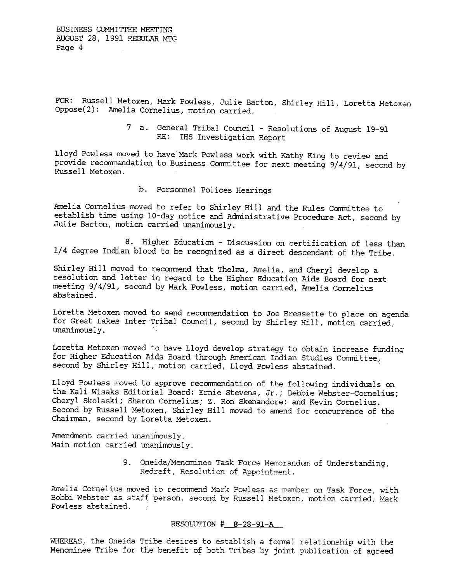FOR: Russell Metoxen, Mark Powless, Julie Barton, Shirley Hill, Loretta Metoxen Oppose(2): Amelia Cornelius, motion carried.

> 7 a. General Tribal Council - Resolutions of August 19-91 RE: IHS Investigation Report

Lloyd Powless moved to have Mark Powless work with Kathy King to review and provide recommendation to Business Committee for next meeting 9/4/91, second by Russell Metoxen

b. Personnel Polices Hearings

Amelia Cornelius moved to refer to Shirley Hill and the Rules Committee to establish time using 10-day notice and Administrative Procedure Act, second by Julie Barton, motion carried unanimously.

8. Higher Education - Discussion on certification of less than 1/4 degree Indian blood to be recognized as a direct descendant of the Tribe.

Shirley Hill moved to recommend that Thelma, Amelia, and Cheryl develop a resolution and letter in regard to the Higher Education Aids Board for next meeting 9/4/91, second by Mark Powless, motion carried, Amelia Cornelius abstained.

Loretta Metoxen moved to send recommendation to Joe Bressette to place on agenda for Great Lakes Inter Tribal Council, second by Shirley Hill, motion carried, unanimous Iy .

Loretta Metoxen moved to have Lloyd develop strategy to obtain increase funding for Higher Education Aids Board through American Indian Studies Committee, second by Shirley Hill, motion carried, Lloyd Powless abstained.

Lloyd Powless moved to approve recommendation of the following individuals on the Kali Wisaks Editorial Board: Ernie stevens, Jr.; Debbie Webster-Cornelius; Cheryl Skolaski; Sharon Cornelius; Z. Ron Skenandore; and Kevin Cornelius. Second by Russell Metoxen, Shirley Hill moved to amend for concurrence of the Chairman, second by Loretta Metoxen.

Amendment carried unanimously. Main motion carried unanimously.

> 9. Oneida/Menominee Task Force Memorandum of Understanding, Redraft, Resolution of Appointment.

Amelia Cornelius moved to recommend Mark Powless as member on Task Force, with Ameria Cornerius moved to reconnend Mark Powless as member on Task Porce, with<br>Bobbi Webster as staff person, second by Russell Metoxen, motion carried, Mark Powless abstained.

# RESOLUTION # 8-28-91-A

WHEREAS, the Oneida Tribe desires to establish a formal relationship with the Menominee Tribe for the benefit of both Tribes by joint publication of agreed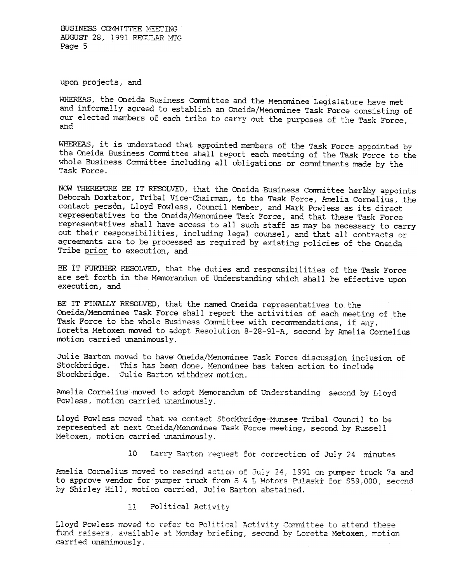BUSINESS COMMITTEE MEETING AUGUST 28. 1991 REGULAR MTG Page 5

upon projects, and

WHEREAS, the Oneida Business Committee and the Menominee Legislature have met and informally agreed to establish an Oneida/Menominee Task Force consisting of our elected members of each tribe to carry out the purposes of the Task Force, and

WHEREAS, it is understood that appointed members of the Task Force appointed by the Oneida Business Committee shall report each meeting of the Task Force to the whole Business Committee including all obligations or commitments made by the Task Force.

NOW THEREFORE BE IT RESOLVED, that the Oneida Business Committee hereby appoints Deborah Doxtator, Tribal Vice-Chairman, to the Task Force, Amelia Cornelius, the contact person, Lloyd Powless, Council Member, and Mark Powless as its direct representatives to the Oneida/Menominee Task Force, and that these Task Force representatives shall have access to all such staff as may be necessary to carry out their responsibilities, including legal counsel, and that all contracts or agreements are to be processed as required by existing policies of the Oneida Tribe prior to execution, and

BE IT FURTHER RESOLVED, that the duties and responsibilities of the Task Force are set forth in the Memorandum of Understanding which shall be effective upon execution, and

BE IT FINALLY RESOLVED, that the named Oneida representatives to the Oneida/Menominee Task Force shall report the activities of each meeting of the Task Force to the whole Business Committee with recommendations, if any. Loretta Metoxen moved to adopt Resolution 8-28-91-A, second by Amelia Cornelius motion carried unanimously.

Julie Barton moved to have Oneida/Menominee Task Force discussion inclusion of Stockbridge. This has been done, Menominee has taken action to include Stockbridge. Julie Barton withdrew motion.

Amelia Cornelius moved to adopt Memorandum of Understanding second by Lloy Powless, motion carried unanimously.

Lloyd Powless moved that we contact Stockbridge-Munsee Tribal Council to be represented at next Oneida/Menominee Task Force meeting, second by Russell Metoxen, motion carried unanimously.

10 Larry Barton request for correction of July 24 minutes

Amelia Cornelius moved to rescind action of July 24, 1991 on pumper truck 7a and to approve vendor for pumper truck from S & L Motors Pulaski for \$59,000, second by Shirley Hill, motion carried, Julie Barton abstained.

> $11<sub>1</sub>$ 11 Political Activity

Lloyd Powless moved to refer to Political Activity Committee to attend these fund raisers, available at Monday briefing, second by Loretta Metoxen, motion carried unanimously.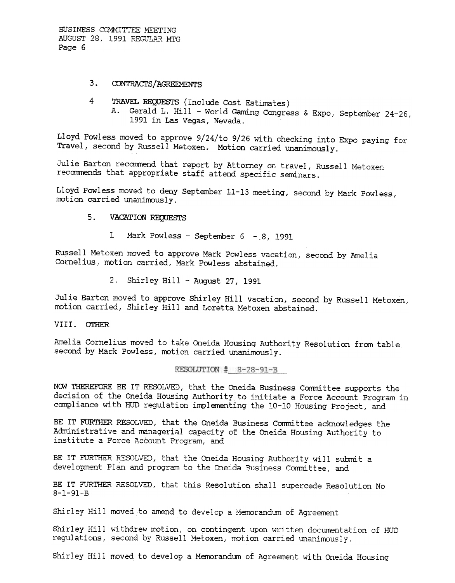BUSINESS COMMITTEE MEETING AUGUST 28, 1991 REGULAR MTG. Page 6

# 3. CONTRACTS/AGREEMENTS

- 4 TRAVEL REQUESTS (Include Cost Estimates)
	- A. Gerald L. Hill World Gaming Congress & Expo, September 24-26, 1991 in Las Vegas, Nevada.

Lloyd Powless moved to approve 9/24/to 9/26 with checking into Expo paying for Travel, second by Russell Metoxen.. Motion carried unanimously..

Julie Barton recommend that report by Attorney on travel, Russell Metoxen recommends that appropriate staff attend specific seminars.

Lloyd Powless moved to deny September 11-13 meeting, second by Mark Powless, motion carried unanimously.

#### $5.$ VACATION REQJESTS

1 Mark Powless - September  $6 - 8$ , 1991

Russell Metoxen moved to approve Mark Powless vacation, second by Amelia Cornelius, motion carried, Mark Powless abstained.

2. Shirley Hill - August 27, 1991

Julie Barton moved to approve Shirley Hill vacation, second by Russell Metoxen, motion carried, Shirley Hill and Loretta Metoxen abstained.

VIII. OTHER

Amelia Cornelius moved to take Oneida Housing Authority Resolution from table second by Mark Powless, motion carried unanimously.

RESOLUTION # 8-28-91-B

NOW THEREFORE BE IT RESOLVED, that the Oneida Business Committee supports the decision of the Oneida Housing Authority to initiate a Force Account Program in compliance with HUD regulation implementing the 10-10 Housing Project, and

BE IT FURTHER RESOLVED, that the Oneida Business Committee acknowledges the Administrative and managerial capacity of the Oneida Housing Authority to institute a Force Account Program, and

BE IT FURTHER RESOLVED, that the Oneida Housing Authority will submit a development Plan and program to the Oneida Business Committee, and

BE IT FURTHER RESOLVED, that this Resolution shall supercede Resolution No 8-1-91-5

Shirley Hill moved to amend to develop a Memorandum of Agreement

Shirley Hill withdrew motion, on contingent upon written documentation of HUD regulations, second by Russell Metoxen, motion carried unanimously.

Shirley Hill moved to develop a Memorandum of Agreement with Oneida Housing